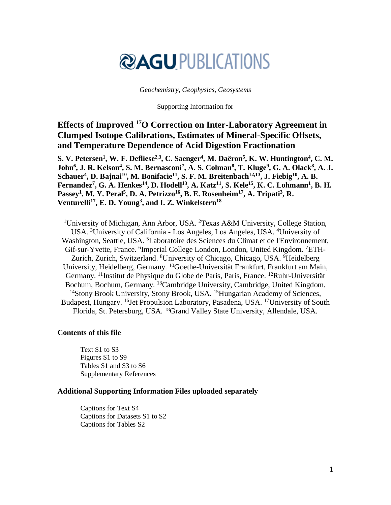# **@AGUPUBLICATIONS**

#### *Geochemistry, Geophysics, Geosystems*

#### Supporting Information for

# **Effects of Improved <sup>17</sup>O Correction on Inter-Laboratory Agreement in Clumped Isotope Calibrations, Estimates of Mineral-Specific Offsets, and Temperature Dependence of Acid Digestion Fractionation**

**S. V. Petersen<sup>1</sup> , W. F. Defliese2,3, C. Saenger<sup>4</sup> , M. Daëron<sup>5</sup> , K. W. Huntington<sup>4</sup> , C. M. John<sup>6</sup> , J. R. Kelson<sup>4</sup> , S. M. Bernasconi<sup>7</sup> , A. S. Colman<sup>8</sup> , T. Kluge<sup>9</sup> , G. A. Olack<sup>8</sup> , A. J. Schauer<sup>4</sup> , D. Bajnai<sup>10</sup> , M. Bonifacie<sup>11</sup> , S. F. M. Breitenbach12,13 , J. Fiebig<sup>10</sup> , A. B. Fernandez<sup>7</sup> , G. A. Henkes<sup>14</sup> , D. Hodell<sup>13</sup> , A. Katz<sup>11</sup> , S. Kele<sup>15</sup> , K. C. Lohmann<sup>1</sup> , B. H.**  Passey<sup>1</sup>, M. Y. Peral<sup>5</sup>, D. A. Petrizzo<sup>16</sup>, B. E. Rosenheim<sup>17</sup>, A. Tripati<sup>3</sup>, R. **Venturelli<sup>17</sup> , E. D. Young<sup>3</sup> , and I. Z. Winkelstern<sup>18</sup>**

<sup>1</sup>University of Michigan, Ann Arbor, USA. <sup>2</sup>Texas A&M University, College Station, USA. <sup>3</sup>University of California - Los Angeles, Los Angeles, USA. <sup>4</sup>University of Washington, Seattle, USA. <sup>5</sup>Laboratoire des Sciences du Climat et de l'Environnement, Gif-sur-Yvette, France. <sup>6</sup>Imperial College London, London, United Kingdom. <sup>7</sup>ETH-Zurich, Zurich, Switzerland. <sup>8</sup>University of Chicago, Chicago, USA. <sup>9</sup>Heidelberg University, Heidelberg, Germany. <sup>10</sup>Goethe-Universität Frankfurt, Frankfurt am Main, Germany. <sup>11</sup> Institut de Physique du Globe de Paris, Paris, France. <sup>12</sup>Ruhr-Universität Bochum, Bochum, Germany. <sup>13</sup>Cambridge University, Cambridge, United Kingdom. <sup>14</sup>Stony Brook University, Stony Brook, USA. <sup>15</sup>Hungarian Academy of Sciences, Budapest, Hungary. <sup>16</sup>Jet Propulsion Laboratory, Pasadena, USA. <sup>17</sup>University of South Florida, St. Petersburg, USA. <sup>18</sup>Grand Valley State University, Allendale, USA.

#### **Contents of this file**

Text S1 to S3 Figures S1 to S9 Tables S1 and S3 to S6 Supplementary References

#### **Additional Supporting Information Files uploaded separately**

Captions for Text S4 Captions for Datasets S1 to S2 Captions for Tables S2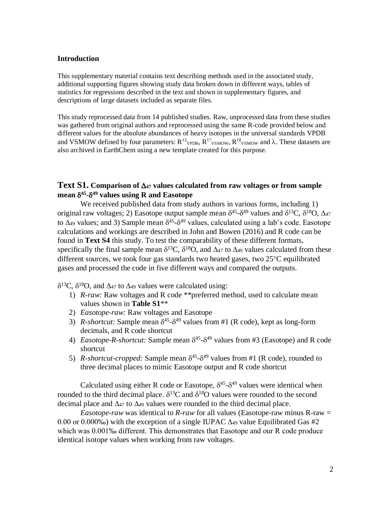#### **Introduction**

This supplementary material contains text describing methods used in the associated study, additional supporting figures showing study data broken down in different ways, tables of statistics for regressions described in the text and shown in supplementary figures, and descriptions of large datasets included as separate files.

This study reprocessed data from 14 published studies. Raw, unprocessed data from these studies was gathered from original authors and reprocessed using the same R-code provided below and different values for the absolute abundances of heavy isotopes in the universal standards VPDB and VSMOW defined by four parameters:  $R^{13}$ <sub>VPDB</sub>,  $R^{17}$ <sub>VSMOW</sub>,  $R^{18}$ <sub>VSMOW</sub> and  $\lambda$ . These datasets are also archived in EarthChem using a new template created for this purpose.

# **Text S1.** Comparison of  $\Delta_4$  values calculated from raw voltages or from sample **mean 45 - <sup>49</sup> values using R and Easotope**

We received published data from study authors in various forms, including 1) original raw voltages; 2) Easotope output sample mean  $\delta^{45}$ - $\delta^{49}$  values and  $\delta^{13}$ C,  $\delta^{18}$ O,  $\Delta_{47}$ to  $\Delta$ 49 values; and 3) Sample mean  $\delta$ <sup>45</sup>- $\delta$ <sup>49</sup> values, calculated using a lab's code. Easotope calculations and workings are described in John and Bowen (2016) and R code can be found in **Text S4** this study. To test the comparability of these different formats, specifically the final sample mean  $\delta^{13}C$ ,  $\delta^{18}O$ , and  $\Delta_{47}$  to  $\Delta_{49}$  values calculated from these different sources, we took four gas standards two heated gases, two  $25^{\circ}$ C equilibrated gases and processed the code in five different ways and compared the outputs.

 $\delta^{13}$ C,  $\delta^{18}$ O, and  $\Delta_{47}$  to  $\Delta_{49}$  values were calculated using:

- 1) *R-raw:* Raw voltages and R code \*\*preferred method, used to calculate mean values shown in **Table S1**\*\*
- 2) *Easotope-raw:* Raw voltages and Easotope
- 3) *R-shortcut:* Sample mean  $\delta^{45}$ - $\delta^{49}$  values from #1 (R code), kept as long-form decimals, and R code shortcut
- 4) *Easotope-R-shortcut:* Sample mean  $\delta^{45}$ - $\delta^{49}$  values from #3 (Easotope) and R code shortcut
- 5) *R*-shortcut-cropped: Sample mean  $\delta^{45}$ - $\delta^{49}$  values from #1 (R code), rounded to three decimal places to mimic Easotope output and R code shortcut

Calculated using either R code or Easotope,  $\delta^{45}$ - $\delta^{49}$  values were identical when rounded to the third decimal place.  $\delta^{13}$ C and  $\delta^{18}$ O values were rounded to the second decimal place and  $\Delta_{47}$  to  $\Delta_{49}$  values were rounded to the third decimal place.

*Easotope-raw* was identical to *R-raw* for all values (Easotope-raw minus R-raw = 0.00 or 0.000‰) with the exception of a single IUPAC  $\Delta_{49}$  value Equilibrated Gas #2 which was 0.001‰ different. This demonstrates that Easotope and our R code produce identical isotope values when working from raw voltages.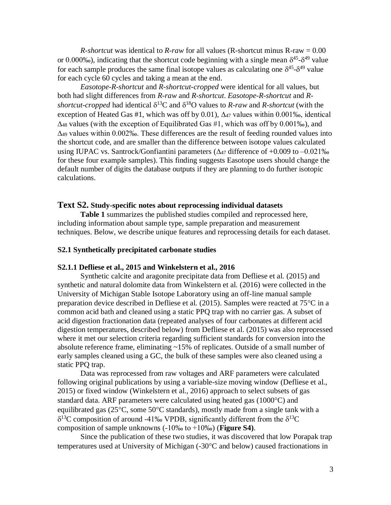*R-shortcut* was identical to *R-raw* for all values (R-shortcut minus R-raw = 0.00 or 0.000‰), indicating that the shortcut code beginning with a single mean  $\delta^{45}$ - $\delta^{49}$  value for each sample produces the same final isotope values as calculating one  $\delta^{45}$ - $\delta^{49}$  value for each cycle 60 cycles and taking a mean at the end.

*Easotope-R-shortcut* and *R-shortcut-cropped* were identical for all values, but both had slight differences from *R-raw* and *R-shortcut*. *Easotope-R-shortcut* and *R*shortcut-cropped had identical  $\delta^{13}$ C and  $\delta^{18}$ O values to *R-raw* and *R-shortcut* (with the exception of Heated Gas #1, which was off by 0.01),  $\Delta_{47}$  values within 0.001‰, identical  $\Delta$ 48 values (with the exception of Equilibrated Gas #1, which was off by 0.001‰), and  $\Delta_{49}$  values within 0.002‰. These differences are the result of feeding rounded values into the shortcut code, and are smaller than the difference between isotope values calculated using IUPAC vs. Santrock/Gonfiantini parameters  $(\Delta_{47})$  difference of +0.009 to -0.021‰ for these four example samples). This finding suggests Easotope users should change the default number of digits the database outputs if they are planning to do further isotopic calculations.

#### **Text S2. Study-specific notes about reprocessing individual datasets**

**Table 1** summarizes the published studies compiled and reprocessed here, including information about sample type, sample preparation and measurement techniques. Below, we describe unique features and reprocessing details for each dataset.

#### **S2.1 Synthetically precipitated carbonate studies**

#### **S2.1.1 Defliese et al., 2015 and Winkelstern et al., 2016**

Synthetic calcite and aragonite precipitate data from Defliese et al. (2015) and synthetic and natural dolomite data from Winkelstern et al. (2016) were collected in the University of Michigan Stable Isotope Laboratory using an off-line manual sample preparation device described in Defliese et al.  $(2015)$ . Samples were reacted at 75 $\degree$ C in a common acid bath and cleaned using a static PPQ trap with no carrier gas. A subset of acid digestion fractionation data (repeated analyses of four carbonates at different acid digestion temperatures, described below) from Defliese et al. (2015) was also reprocessed where it met our selection criteria regarding sufficient standards for conversion into the absolute reference frame, eliminating ~15% of replicates. Outside of a small number of early samples cleaned using a GC, the bulk of these samples were also cleaned using a static PPQ trap.

Data was reprocessed from raw voltages and ARF parameters were calculated following original publications by using a variable-size moving window (Defliese et al., 2015) or fixed window (Winkelstern et al., 2016) approach to select subsets of gas standard data. ARF parameters were calculated using heated gas  $(1000^{\circ}C)$  and equilibrated gas ( $25^{\circ}$ C, some  $50^{\circ}$ C standards), mostly made from a single tank with a  $\delta^{13}$ C composition of around -41% VPDB, significantly different from the  $\delta^{13}$ C composition of sample unknowns (-10‰ to +10‰) (**Figure S4)**.

Since the publication of these two studies, it was discovered that low Porapak trap temperatures used at University of Michigan  $(-30^{\circ}$ C and below) caused fractionations in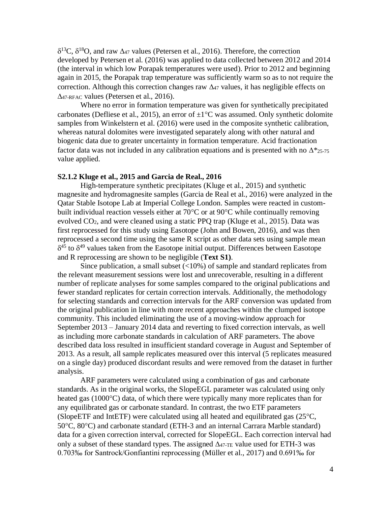$\delta^{13}C$ ,  $\delta^{18}O$ , and raw  $\Delta_{47}$  values (Petersen et al., 2016). Therefore, the correction developed by Petersen et al. (2016) was applied to data collected between 2012 and 2014 (the interval in which low Porapak temperatures were used). Prior to 2012 and beginning again in 2015, the Porapak trap temperature was sufficiently warm so as to not require the correction. Although this correction changes raw  $\Delta_{47}$  values, it has negligible effects on  $\Delta$ 47-RFAC values (Petersen et al., 2016).

Where no error in formation temperature was given for synthetically precipitated carbonates (Defliese et al., 2015), an error of  $\pm 1^{\circ}$ C was assumed. Only synthetic dolomite samples from Winkelstern et al. (2016) were used in the composite synthetic calibration, whereas natural dolomites were investigated separately along with other natural and biogenic data due to greater uncertainty in formation temperature. Acid fractionation factor data was not included in any calibration equations and is presented with no  $\Delta^*_{25-75}$ value applied.

#### **S2.1.2 Kluge et al., 2015 and Garcia de Real., 2016**

High-temperature synthetic precipitates (Kluge et al., 2015) and synthetic magnesite and hydromagnesite samples (Garcia de Real et al., 2016) were analyzed in the Qatar Stable Isotope Lab at Imperial College London. Samples were reacted in custombuilt individual reaction vessels either at  $70^{\circ}$ C or at  $90^{\circ}$ C while continually removing evolved CO2, and were cleaned using a static PPQ trap (Kluge et al., 2015). Data was first reprocessed for this study using Easotope (John and Bowen, 2016), and was then reprocessed a second time using the same R script as other data sets using sample mean  $\delta^{45}$  to  $\delta^{49}$  values taken from the Easotope initial output. Differences between Easotope and R reprocessing are shown to be negligible (**Text S1)**.

Since publication, a small subset  $\left($  < 10%) of sample and standard replicates from the relevant measurement sessions were lost and unrecoverable, resulting in a different number of replicate analyses for some samples compared to the original publications and fewer standard replicates for certain correction intervals. Additionally, the methodology for selecting standards and correction intervals for the ARF conversion was updated from the original publication in line with more recent approaches within the clumped isotope community. This included eliminating the use of a moving-window approach for September 2013 – January 2014 data and reverting to fixed correction intervals, as well as including more carbonate standards in calculation of ARF parameters. The above described data loss resulted in insufficient standard coverage in August and September of 2013. As a result, all sample replicates measured over this interval (5 replicates measured on a single day) produced discordant results and were removed from the dataset in further analysis.

ARF parameters were calculated using a combination of gas and carbonate standards. As in the original works, the SlopeEGL parameter was calculated using only heated gas (1000<sup>o</sup>C) data, of which there were typically many more replicates than for any equilibrated gas or carbonate standard. In contrast, the two ETF parameters (SlopeETF and IntETF) were calculated using all heated and equilibrated gas  $(25^{\circ}C,$  $50^{\circ}$ C,  $80^{\circ}$ C) and carbonate standard (ETH-3 and an internal Carrara Marble standard) data for a given correction interval, corrected for SlopeEGL. Each correction interval had only a subset of these standard types. The assigned  $\Delta_{47\text{-TE}}$  value used for ETH-3 was 0.703‰ for Santrock/Gonfiantini reprocessing (Müller et al., 2017) and 0.691‰ for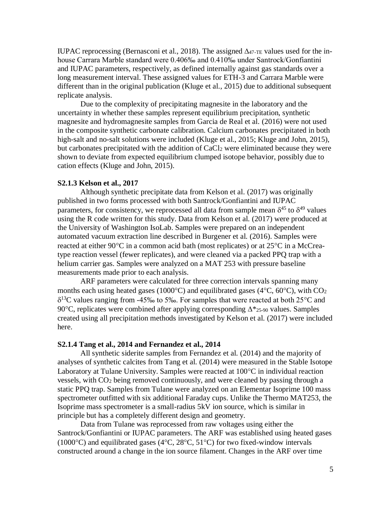IUPAC reprocessing (Bernasconi et al., 2018). The assigned  $\Delta_{47\text{-TE}}$  values used for the inhouse Carrara Marble standard were 0.406‰ and 0.410‰ under Santrock/Gonfiantini and IUPAC parameters, respectively, as defined internally against gas standards over a long measurement interval. These assigned values for ETH-3 and Carrara Marble were different than in the original publication (Kluge et al., 2015) due to additional subsequent replicate analysis.

Due to the complexity of precipitating magnesite in the laboratory and the uncertainty in whether these samples represent equilibrium precipitation, synthetic magnesite and hydromagnesite samples from Garcia de Real et al. (2016) were not used in the composite synthetic carbonate calibration. Calcium carbonates precipitated in both high-salt and no-salt solutions were included (Kluge et al., 2015; Kluge and John, 2015), but carbonates precipitated with the addition of CaCl<sup>2</sup> were eliminated because they were shown to deviate from expected equilibrium clumped isotope behavior, possibly due to cation effects (Kluge and John, 2015).

#### **S2.1.3 Kelson et al., 2017**

Although synthetic precipitate data from Kelson et al. (2017) was originally published in two forms processed with both Santrock/Gonfiantini and IUPAC parameters, for consistency, we reprocessed all data from sample mean  $\delta^{45}$  to  $\delta^{49}$  values using the R code written for this study. Data from Kelson et al. (2017) were produced at the University of Washington IsoLab. Samples were prepared on an independent automated vacuum extraction line described in Burgener et al. (2016). Samples were reacted at either  $90^{\circ}$ C in a common acid bath (most replicates) or at  $25^{\circ}$ C in a McCreatype reaction vessel (fewer replicates), and were cleaned via a packed PPQ trap with a helium carrier gas. Samples were analyzed on a MAT 253 with pressure baseline measurements made prior to each analysis.

ARF parameters were calculated for three correction intervals spanning many months each using heated gases (1000 $^{\circ}$ C) and equilibrated gases (4 $^{\circ}$ C, 60 $^{\circ}$ C), with CO<sub>2</sub>  $\delta^{13}$ C values ranging from -45‰ to 5‰. For samples that were reacted at both 25°C and 90 $^{\circ}$ C, replicates were combined after applying corresponding  $\Delta^*$  25-90 values. Samples created using all precipitation methods investigated by Kelson et al. (2017) were included here.

#### **S2.1.4 Tang et al., 2014 and Fernandez et al., 2014**

All synthetic siderite samples from Fernandez et al. (2014) and the majority of analyses of synthetic calcites from Tang et al. (2014) were measured in the Stable Isotope Laboratory at Tulane University. Samples were reacted at  $100^{\circ}$ C in individual reaction vessels, with CO<sup>2</sup> being removed continuously, and were cleaned by passing through a static PPQ trap. Samples from Tulane were analyzed on an Elementar Isoprime 100 mass spectrometer outfitted with six additional Faraday cups. Unlike the Thermo MAT253, the Isoprime mass spectrometer is a small-radius 5kV ion source, which is similar in principle but has a completely different design and geometry.

Data from Tulane was reprocessed from raw voltages using either the Santrock/Gonfiantini or IUPAC parameters. The ARF was established using heated gases (1000 $^{\circ}$ C) and equilibrated gases (4 $^{\circ}$ C, 28 $^{\circ}$ C, 51 $^{\circ}$ C) for two fixed-window intervals constructed around a change in the ion source filament. Changes in the ARF over time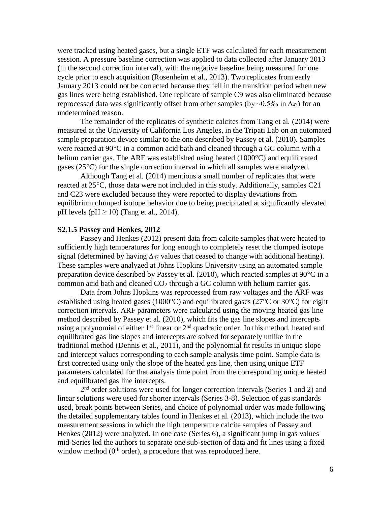were tracked using heated gases, but a single ETF was calculated for each measurement session. A pressure baseline correction was applied to data collected after January 2013 (in the second correction interval), with the negative baseline being measured for one cycle prior to each acquisition (Rosenheim et al., 2013). Two replicates from early January 2013 could not be corrected because they fell in the transition period when new gas lines were being established. One replicate of sample C9 was also eliminated because reprocessed data was significantly offset from other samples (by  $\sim 0.5\%$  in  $\Delta_{47}$ ) for an undetermined reason.

The remainder of the replicates of synthetic calcites from Tang et al. (2014) were measured at the University of California Los Angeles, in the Tripati Lab on an automated sample preparation device similar to the one described by Passey et al. (2010). Samples were reacted at  $90^{\circ}$ C in a common acid bath and cleaned through a GC column with a helium carrier gas. The ARF was established using heated  $(1000^{\circ}C)$  and equilibrated gases ( $25^{\circ}$ C) for the single correction interval in which all samples were analyzed.

Although Tang et al. (2014) mentions a small number of replicates that were reacted at  $25^{\circ}$ C, those data were not included in this study. Additionally, samples C21 and C23 were excluded because they were reported to display deviations from equilibrium clumped isotope behavior due to being precipitated at significantly elevated pH levels (pH  $\geq$  10) (Tang et al., 2014).

#### **S2.1.5 Passey and Henkes, 2012**

Passey and Henkes (2012) present data from calcite samples that were heated to sufficiently high temperatures for long enough to completely reset the clumped isotope signal (determined by having  $\Delta_{47}$  values that ceased to change with additional heating). These samples were analyzed at Johns Hopkins University using an automated sample preparation device described by Passey et al.  $(2010)$ , which reacted samples at 90 $\degree$ C in a common acid bath and cleaned CO<sup>2</sup> through a GC column with helium carrier gas.

Data from Johns Hopkins was reprocessed from raw voltages and the ARF was established using heated gases (1000 $^{\circ}$ C) and equilibrated gases (27 $^{\circ}$ C or 30 $^{\circ}$ C) for eight correction intervals. ARF parameters were calculated using the moving heated gas line method described by Passey et al. (2010), which fits the gas line slopes and intercepts using a polynomial of either  $1<sup>st</sup>$  linear or  $2<sup>nd</sup>$  quadratic order. In this method, heated and equilibrated gas line slopes and intercepts are solved for separately unlike in the traditional method (Dennis et al., 2011), and the polynomial fit results in unique slope and intercept values corresponding to each sample analysis time point. Sample data is first corrected using only the slope of the heated gas line, then using unique ETF parameters calculated for that analysis time point from the corresponding unique heated and equilibrated gas line intercepts.

2<sup>nd</sup> order solutions were used for longer correction intervals (Series 1 and 2) and linear solutions were used for shorter intervals (Series 3-8). Selection of gas standards used, break points between Series, and choice of polynomial order was made following the detailed supplementary tables found in Henkes et al. (2013), which include the two measurement sessions in which the high temperature calcite samples of Passey and Henkes (2012) were analyzed. In one case (Series 6), a significant jump in gas values mid-Series led the authors to separate one sub-section of data and fit lines using a fixed window method  $(0<sup>th</sup> order)$ , a procedure that was reproduced here.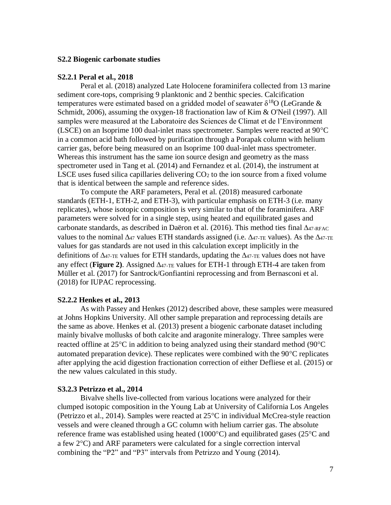#### **S2.2 Biogenic carbonate studies**

#### **S2.2.1 Peral et al., 2018**

Peral et al. (2018) analyzed Late Holocene foraminifera collected from 13 marine sediment core-tops, comprising 9 planktonic and 2 benthic species. Calcification temperatures were estimated based on a gridded model of seawater  $\delta^{18}O$  (LeGrande & Schmidt, 2006), assuming the oxygen-18 fractionation law of Kim & O'Neil (1997). All samples were measured at the Laboratoire des Sciences de Climat et de l'Environment (LSCE) on an Isoprime 100 dual-inlet mass spectrometer. Samples were reacted at  $90^{\circ}$ C in a common acid bath followed by purification through a Porapak column with helium carrier gas, before being measured on an Isoprime 100 dual-inlet mass spectrometer. Whereas this instrument has the same ion source design and geometry as the mass spectrometer used in Tang et al. (2014) and Fernandez et al. (2014), the instrument at LSCE uses fused silica capillaries delivering  $CO<sub>2</sub>$  to the ion source from a fixed volume that is identical between the sample and reference sides.

To compute the ARF parameters, Peral et al. (2018) measured carbonate standards (ETH-1, ETH-2, and ETH-3), with particular emphasis on ETH-3 (i.e. many replicates), whose isotopic composition is very similar to that of the foraminifera. ARF parameters were solved for in a single step, using heated and equilibrated gases and carbonate standards, as described in Daëron et al. (2016). This method ties final  $\Delta_{47\text{-RFAC}}$ values to the nominal  $\Delta_{47}$  values ETH standards assigned (i.e.  $\Delta_{47\text{-TE}}$  values). As the  $\Delta_{47\text{-TE}}$ values for gas standards are not used in this calculation except implicitly in the definitions of  $\Delta_{47\text{-TE}}$  values for ETH standards, updating the  $\Delta_{47\text{-TE}}$  values does not have any effect (**Figure 2**). Assigned  $\Delta_{47\text{-TE}}$  values for ETH-1 through ETH-4 are taken from Müller et al. (2017) for Santrock/Gonfiantini reprocessing and from Bernasconi et al. (2018) for IUPAC reprocessing.

#### **S2.2.2 Henkes et al., 2013**

As with Passey and Henkes (2012) described above, these samples were measured at Johns Hopkins University. All other sample preparation and reprocessing details are the same as above. Henkes et al. (2013) present a biogenic carbonate dataset including mainly bivalve mollusks of both calcite and aragonite mineralogy. Three samples were reacted offline at  $25^{\circ}$ C in addition to being analyzed using their standard method (90 $^{\circ}$ C) automated preparation device). These replicates were combined with the  $90^{\circ}$ C replicates after applying the acid digestion fractionation correction of either Defliese et al. (2015) or the new values calculated in this study.

#### **S3.2.3 Petrizzo et al., 2014**

Bivalve shells live-collected from various locations were analyzed for their clumped isotopic composition in the Young Lab at University of California Los Angeles (Petrizzo et al., 2014). Samples were reacted at  $25^{\circ}$ C in individual McCrea-style reaction vessels and were cleaned through a GC column with helium carrier gas. The absolute reference frame was established using heated  $(1000^{\circ}C)$  and equilibrated gases  $(25^{\circ}C \text{ and }$ a few  $2^{\circ}$ C) and ARF parameters were calculated for a single correction interval combining the "P2" and "P3" intervals from Petrizzo and Young (2014).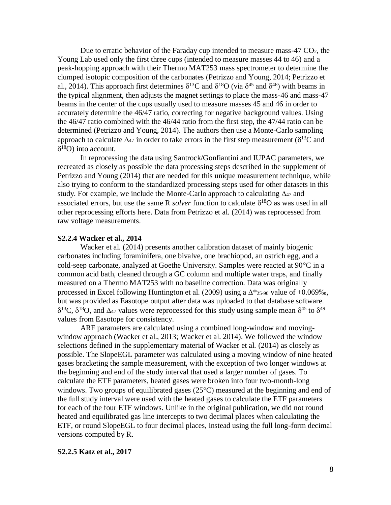Due to erratic behavior of the Faraday cup intended to measure mass- $47 \text{ CO}_2$ , the Young Lab used only the first three cups (intended to measure masses 44 to 46) and a peak-hopping approach with their Thermo MAT253 mass spectrometer to determine the clumped isotopic composition of the carbonates (Petrizzo and Young, 2014; Petrizzo et al., 2014). This approach first determines  $\delta^{13}$ C and  $\delta^{18}$ O (via  $\delta^{45}$  and  $\delta^{46}$ ) with beams in the typical alignment, then adjusts the magnet settings to place the mass-46 and mass-47 beams in the center of the cups usually used to measure masses 45 and 46 in order to accurately determine the 46/47 ratio, correcting for negative background values. Using the 46/47 ratio combined with the 46/44 ratio from the first step, the 47/44 ratio can be determined (Petrizzo and Young, 2014). The authors then use a Monte-Carlo sampling approach to calculate  $\Delta_{47}$  in order to take errors in the first step measurement ( $\delta^{13}$ C and  $\delta^{18}O$ ) into account.

In reprocessing the data using Santrock/Gonfiantini and IUPAC parameters, we recreated as closely as possible the data processing steps described in the supplement of Petrizzo and Young (2014) that are needed for this unique measurement technique, while also trying to conform to the standardized processing steps used for other datasets in this study. For example, we include the Monte-Carlo approach to calculating  $\Delta_{47}$  and associated errors, but use the same R *solver* function to calculate  $\delta^{18}O$  as was used in all other reprocessing efforts here. Data from Petrizzo et al. (2014) was reprocessed from raw voltage measurements.

#### **S2.2.4 Wacker et al., 2014**

Wacker et al. (2014) presents another calibration dataset of mainly biogenic carbonates including foraminifera, one bivalve, one brachiopod, an ostrich egg, and a cold-seep carbonate, analyzed at Goethe University. Samples were reacted at  $90^{\circ}$ C in a common acid bath, cleaned through a GC column and multiple water traps, and finally measured on a Thermo MAT253 with no baseline correction. Data was originally processed in Excel following Huntington et al. (2009) using a  $\Delta^*$ <sub>25-90</sub> value of +0.069‰, but was provided as Easotope output after data was uploaded to that database software.  $\delta^{13}$ C,  $\delta^{18}$ O, and  $\Delta_{47}$  values were reprocessed for this study using sample mean  $\delta^{45}$  to  $\delta^{49}$ values from Easotope for consistency.

ARF parameters are calculated using a combined long-window and movingwindow approach (Wacker et al., 2013; Wacker et al. 2014). We followed the window selections defined in the supplementary material of Wacker et al. (2014) as closely as possible. The SlopeEGL parameter was calculated using a moving window of nine heated gases bracketing the sample measurement, with the exception of two longer windows at the beginning and end of the study interval that used a larger number of gases. To calculate the ETF parameters, heated gases were broken into four two-month-long windows. Two groups of equilibrated gases  $(25^{\circ}C)$  measured at the beginning and end of the full study interval were used with the heated gases to calculate the ETF parameters for each of the four ETF windows. Unlike in the original publication, we did not round heated and equilibrated gas line intercepts to two decimal places when calculating the ETF, or round SlopeEGL to four decimal places, instead using the full long-form decimal versions computed by R.

#### **S2.2.5 Katz et al., 2017**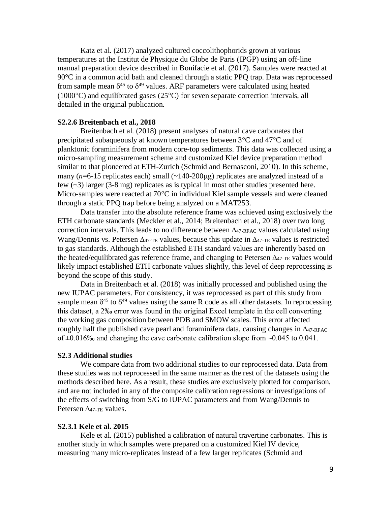Katz et al. (2017) analyzed cultured coccolithophorids grown at various temperatures at the Institut de Physique du Globe de Paris (IPGP) using an off-line manual preparation device described in Bonifacie et al. (2017). Samples were reacted at 90°C in a common acid bath and cleaned through a static PPQ trap. Data was reprocessed from sample mean  $\delta^{45}$  to  $\delta^{49}$  values. ARF parameters were calculated using heated  $(1000^{\circ}C)$  and equilibrated gases  $(25^{\circ}C)$  for seven separate correction intervals, all detailed in the original publication.

#### **S2.2.6 Breitenbach et al., 2018**

Breitenbach et al. (2018) present analyses of natural cave carbonates that precipitated subaqueously at known temperatures between  $3^{\circ}$ C and  $47^{\circ}$ C and of planktonic foraminifera from modern core-top sediments. This data was collected using a micro-sampling measurement scheme and customized Kiel device preparation method similar to that pioneered at ETH-Zurich (Schmid and Bernasconi, 2010). In this scheme, many  $(n=6-15$  replicates each) small  $(\sim 140-200 \mu g)$  replicates are analyzed instead of a few  $(\sim 3)$  larger  $(3-8 \text{ mg})$  replicates as is typical in most other studies presented here. Micro-samples were reacted at  $70^{\circ}$ C in individual Kiel sample vessels and were cleaned through a static PPQ trap before being analyzed on a MAT253.

Data transfer into the absolute reference frame was achieved using exclusively the ETH carbonate standards (Meckler et al., 2014; Breitenbach et al., 2018) over two long correction intervals. This leads to no difference between  $\Delta_{47\text{-RFAC}}$  values calculated using Wang/Dennis vs. Petersen  $\Delta_{47\text{-TE}}$  values, because this update in  $\Delta_{47\text{-TE}}$  values is restricted to gas standards. Although the established ETH standard values are inherently based on the heated/equilibrated gas reference frame, and changing to Petersen  $\Delta_{47\text{-TE}}$  values would likely impact established ETH carbonate values slightly, this level of deep reprocessing is beyond the scope of this study.

Data in Breitenbach et al. (2018) was initially processed and published using the new IUPAC parameters. For consistency, it was reprocessed as part of this study from sample mean  $\delta^{45}$  to  $\delta^{49}$  values using the same R code as all other datasets. In reprocessing this dataset, a 2‰ error was found in the original Excel template in the cell converting the working gas composition between PDB and SMOW scales. This error affected roughly half the published cave pearl and foraminifera data, causing changes in  $\Delta_{47\text{-RFAC}}$ of  $\pm 0.016\%$  and changing the cave carbonate calibration slope from  $\sim 0.045$  to 0.041.

#### **S2.3 Additional studies**

We compare data from two additional studies to our reprocessed data. Data from these studies was not reprocessed in the same manner as the rest of the datasets using the methods described here. As a result, these studies are exclusively plotted for comparison, and are not included in any of the composite calibration regressions or investigations of the effects of switching from S/G to IUPAC parameters and from Wang/Dennis to Petersen  $\Delta$ 47-TE values.

#### **S2.3.1 Kele et al. 2015**

Kele et al. (2015) published a calibration of natural travertine carbonates. This is another study in which samples were prepared on a customized Kiel IV device, measuring many micro-replicates instead of a few larger replicates (Schmid and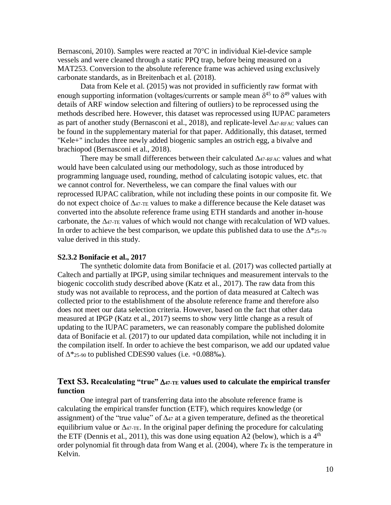Bernasconi, 2010). Samples were reacted at  $70^{\circ}$ C in individual Kiel-device sample vessels and were cleaned through a static PPQ trap, before being measured on a MAT253. Conversion to the absolute reference frame was achieved using exclusively carbonate standards, as in Breitenbach et al. (2018).

Data from Kele et al. (2015) was not provided in sufficiently raw format with enough supporting information (voltages/currents or sample mean  $\delta^{45}$  to  $\delta^{49}$  values with details of ARF window selection and filtering of outliers) to be reprocessed using the methods described here. However, this dataset was reprocessed using IUPAC parameters as part of another study (Bernasconi et al., 2018), and replicate-level  $\Delta_{47\text{-RFAC}}$  values can be found in the supplementary material for that paper. Additionally, this dataset, termed "Kele+" includes three newly added biogenic samples an ostrich egg, a bivalve and brachiopod (Bernasconi et al., 2018).

There may be small differences between their calculated  $\Delta_{47\text{-RFAC}}$  values and what would have been calculated using our methodology, such as those introduced by programming language used, rounding, method of calculating isotopic values, etc. that we cannot control for. Nevertheless, we can compare the final values with our reprocessed IUPAC calibration, while not including these points in our composite fit. We do not expect choice of  $\Delta_{47\text{-TE}}$  values to make a difference because the Kele dataset was converted into the absolute reference frame using ETH standards and another in-house carbonate, the  $\Delta_{47}$ -TE values of which would not change with recalculation of WD values. In order to achieve the best comparison, we update this published data to use the  $\Delta^*$ <sub>25-70</sub> value derived in this study.

#### **S2.3.2 Bonifacie et al., 2017**

The synthetic dolomite data from Bonifacie et al. (2017) was collected partially at Caltech and partially at IPGP, using similar techniques and measurement intervals to the biogenic coccolith study described above (Katz et al., 2017). The raw data from this study was not available to reprocess, and the portion of data measured at Caltech was collected prior to the establishment of the absolute reference frame and therefore also does not meet our data selection criteria. However, based on the fact that other data measured at IPGP (Katz et al., 2017) seems to show very little change as a result of updating to the IUPAC parameters, we can reasonably compare the published dolomite data of Bonifacie et al. (2017) to our updated data compilation, while not including it in the compilation itself. In order to achieve the best comparison, we add our updated value of  $\Delta^*$ <sub>25-90</sub> to published CDES90 values (i.e. +0.088‰).

## **Text S3.** Recalculating "true"  $\Delta$ 47-TE values used to calculate the empirical transfer **function**

One integral part of transferring data into the absolute reference frame is calculating the empirical transfer function (ETF), which requires knowledge (or assignment) of the "true value" of  $\Delta_{47}$  at a given temperature, defined as the theoretical equilibrium value or  $\Delta_{47\text{-TE}}$ . In the original paper defining the procedure for calculating the ETF (Dennis et al., 2011), this was done using equation A2 (below), which is a  $4<sup>th</sup>$ order polynomial fit through data from Wang et al. (2004), where  $T_K$  is the temperature in Kelvin.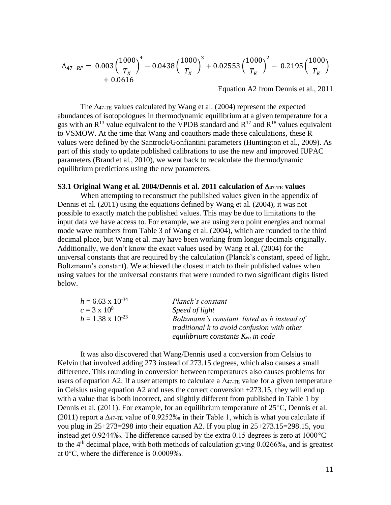$$
\Delta_{47-RF} = 0.003 \left(\frac{1000}{T_K}\right)^4 - 0.0438 \left(\frac{1000}{T_K}\right)^3 + 0.02553 \left(\frac{1000}{T_K}\right)^2 - 0.2195 \left(\frac{1000}{T_K}\right)^4 + 0.0616
$$

Equation A2 from Dennis et al., 2011

The  $\Delta_{47\text{-TE}}$  values calculated by Wang et al. (2004) represent the expected abundances of isotopologues in thermodynamic equilibrium at a given temperature for a gas with an  $R^{13}$  value equivalent to the VPDB standard and  $R^{17}$  and  $R^{18}$  values equivalent to VSMOW. At the time that Wang and coauthors made these calculations, these R values were defined by the Santrock/Gonfiantini parameters (Huntington et al., 2009). As part of this study to update published calibrations to use the new and improved IUPAC parameters (Brand et al., 2010), we went back to recalculate the thermodynamic equilibrium predictions using the new parameters.

#### **S3.1 Original Wang et al. 2004/Dennis et al. 2011 calculation of**  $\Delta$ **47-TE values**

When attempting to reconstruct the published values given in the appendix of Dennis et al. (2011) using the equations defined by Wang et al. (2004), it was not possible to exactly match the published values. This may be due to limitations to the input data we have access to. For example, we are using zero point energies and normal mode wave numbers from Table 3 of Wang et al. (2004), which are rounded to the third decimal place, but Wang et al. may have been working from longer decimals originally. Additionally, we don't know the exact values used by Wang et al. (2004) for the universal constants that are required by the calculation (Planck's constant, speed of light, Boltzmann's constant). We achieved the closest match to their published values when using values for the universal constants that were rounded to two significant digits listed below.

| $h = 6.63 \times 10^{-34}$ | Planck's constant                                                                                                                            |
|----------------------------|----------------------------------------------------------------------------------------------------------------------------------------------|
| $c = 3 \times 10^8$        | Speed of light                                                                                                                               |
| $b = 1.38 \times 10^{-23}$ | Boltzmann's constant, listed as b instead of<br><i>traditional k to avoid confusion with other</i><br>equilibrium constants $K_{eq}$ in code |
|                            |                                                                                                                                              |

It was also discovered that Wang/Dennis used a conversion from Celsius to Kelvin that involved adding 273 instead of 273.15 degrees, which also causes a small difference. This rounding in conversion between temperatures also causes problems for users of equation A2. If a user attempts to calculate a  $\Delta_{47\text{-TE}}$  value for a given temperature in Celsius using equation A2 and uses the correct conversion +273.15, they will end up with a value that is both incorrect, and slightly different from published in Table 1 by Dennis et al. (2011). For example, for an equilibrium temperature of  $25^{\circ}$ C, Dennis et al. (2011) report a  $\Delta_{47\text{-TE}}$  value of 0.9252‰ in their Table 1, which is what you calculate if you plug in 25+273=298 into their equation A2. If you plug in 25+273.15=298.15, you instead get 0.9244‰. The difference caused by the extra 0.15 degrees is zero at  $1000^{\circ}$ C to the 4th decimal place, with both methods of calculation giving 0.0266‰, and is greatest at  $0^{\circ}$ C, where the difference is 0.0009‰.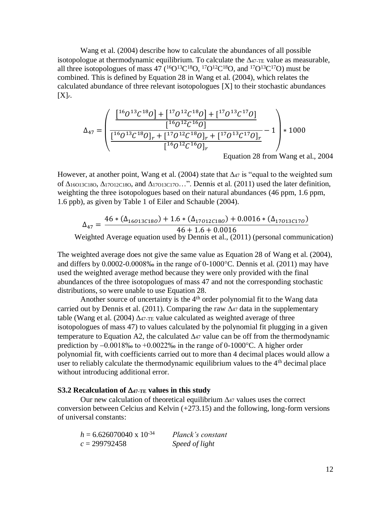Wang et al. (2004) describe how to calculate the abundances of all possible isotopologue at thermodynamic equilibrium. To calculate the  $\Delta_{47\text{-TE}}$  value as measurable, all three isotopologues of mass 47 ( ${}^{16}O^{13}C^{18}O$ ,  ${}^{17}O^{12}C^{18}O$ , and  ${}^{17}O^{13}C^{17}O$ ) must be combined. This is defined by Equation 28 in Wang et al. (2004), which relates the calculated abundance of three relevant isotopologues [X] to their stochastic abundances [X]*r*.

$$
\Delta_{47} = \left( \frac{\left[ \frac{1^6 0^{13} \mathcal{C}^{18} O \right] + \left[ \frac{1^7 0^{12} \mathcal{C}^{18} O \right] + \left[ \frac{1^7 0^{13} \mathcal{C}^{17} O \right]}{\left[ \frac{1^6 0^{13} \mathcal{C}^{18} O \right]_r + \left[ \frac{1^7 0^{12} \mathcal{C}^{16} O \right]_r + \left[ \frac{1^7 0^{13} \mathcal{C}^{17} O \right]_r}{\left[ \frac{1^6 0^{12} \mathcal{C}^{16} O \right]_r + \left[ \frac{1^7 0^{13} \mathcal{C}^{17} O \right]_r}{\left[ \frac{1^7 0^{12} \mathcal{C}^{16} O \right]_r}} - 1} \right) * 1000
$$
  
Equation 28 from Wang et al., 2004

However, at another point, Wang et al. (2004) state that  $\Delta_{47}$  is "equal to the weighted sum of  $\Delta$ 16O13C18O,  $\Delta$ 17O12C18O, and  $\Delta$ 17O13C17O...". Dennis et al. (2011) used the later definition, weighting the three isotopologues based on their natural abundances (46 ppm, 1.6 ppm, 1.6 ppb), as given by Table 1 of Eiler and Schauble (2004).

$$
\Delta_{47} = \frac{46 * (\Delta_{16013C180}) + 1.6 * (\Delta_{17012C180}) + 0.0016 * (\Delta_{17013C170})}{46 + 1.6 + 0.0016}
$$

Weighted Average equation used by Dennis et al., (2011) (personal communication)

The weighted average does not give the same value as Equation 28 of Wang et al. (2004), and differs by  $0.0002 - 0.0008\%$  in the range of  $0-1000\degree$ C. Dennis et al. (2011) may have used the weighted average method because they were only provided with the final abundances of the three isotopologues of mass 47 and not the corresponding stochastic distributions, so were unable to use Equation 28.

Another source of uncertainty is the 4<sup>th</sup> order polynomial fit to the Wang data carried out by Dennis et al. (2011). Comparing the raw  $\Delta_{47}$  data in the supplementary table (Wang et al. (2004)  $\Delta_{47\text{-TE}}$  value calculated as weighted average of three isotopologues of mass 47) to values calculated by the polynomial fit plugging in a given temperature to Equation A2, the calculated  $\Delta_{47}$  value can be off from the thermodynamic prediction by  $-0.0018\%$  to  $+0.0022\%$  in the range of 0-1000°C. A higher order polynomial fit, with coefficients carried out to more than 4 decimal places would allow a user to reliably calculate the thermodynamic equilibrium values to the  $4<sup>th</sup>$  decimal place without introducing additional error.

#### **S3.2 Recalculation of 47-TE values in this study**

Our new calculation of theoretical equilibrium  $\Delta_{47}$  values uses the correct conversion between Celcius and Kelvin (+273.15) and the following, long-form versions of universal constants:

| $h = 6.626070040 \times 10^{-34}$ | Planck's constant |
|-----------------------------------|-------------------|
| $c = 299792458$                   | Speed of light    |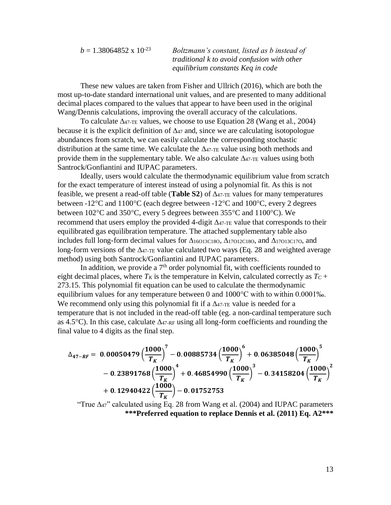$b = 1.38064852 \times 10^{-23}$  *Boltzmann's constant, listed as b instead of traditional k to avoid confusion with other equilibrium constants Keq in code*

These new values are taken from Fisher and Ullrich (2016), which are both the most up-to-date standard international unit values, and are presented to many additional decimal places compared to the values that appear to have been used in the original Wang/Dennis calculations, improving the overall accuracy of the calculations.

To calculate  $\Delta_{47\text{-TE}}$  values, we choose to use Equation 28 (Wang et al., 2004) because it is the explicit definition of  $\Delta_{47}$  and, since we are calculating isotopologue abundances from scratch, we can easily calculate the corresponding stochastic distribution at the same time. We calculate the  $\Delta_{47\text{-TE}}$  value using both methods and provide them in the supplementary table. We also calculate  $\Delta_{47\text{-TE}}$  values using both Santrock/Gonfiantini and IUPAC parameters.

Ideally, users would calculate the thermodynamic equilibrium value from scratch for the exact temperature of interest instead of using a polynomial fit. As this is not feasible, we present a read-off table (**Table S2**) of  $\Delta_{47\text{-TE}}$  values for many temperatures between -12 $\degree$ C and 1100 $\degree$ C (each degree between -12 $\degree$ C and 100 $\degree$ C, every 2 degrees between  $102^{\circ}$ C and  $350^{\circ}$ C, every 5 degrees between  $355^{\circ}$ C and  $1100^{\circ}$ C). We recommend that users employ the provided 4-digit  $\Delta_{47\text{-TE}}$  value that corresponds to their equilibrated gas equilibration temperature. The attached supplementary table also includes full long-form decimal values for  $\Delta_{16013C180}$ ,  $\Delta_{17012C180}$ , and  $\Delta_{17013C170}$ , and long-form versions of the  $\Delta_{47\text{-TE}}$  value calculated two ways (Eq. 28 and weighted average method) using both Santrock/Gonfiantini and IUPAC parameters.

In addition, we provide a  $7<sup>th</sup>$  order polynomial fit, with coefficients rounded to eight decimal places, where  $T_K$  is the temperature in Kelvin, calculated correctly as  $T_C$  + 273.15. This polynomial fit equation can be used to calculate the thermodynamic equilibrium values for any temperature between 0 and  $1000^{\circ}$ C with to within 0.0001‰. We recommend only using this polynomial fit if a  $\Delta$ 47-TE value is needed for a temperature that is not included in the read-off table (eg. a non-cardinal temperature such as 4.5°C). In this case, calculate  $\Delta_{47\text{-RF}}$  using all long-form coefficients and rounding the final value to 4 digits as the final step.

$$
\Delta_{47-RF} = 0.00050479 \left(\frac{1000}{T_K}\right)^7 - 0.00885734 \left(\frac{1000}{T_K}\right)^6 + 0.06385048 \left(\frac{1000}{T_K}\right)^5 \n- 0.23891768 \left(\frac{1000}{T_K}\right)^4 + 0.46854990 \left(\frac{1000}{T_K}\right)^3 - 0.34158204 \left(\frac{1000}{T_K}\right)^2 \n+ 0.12940422 \left(\frac{1000}{T_K}\right) - 0.01752753
$$

"True  $\Delta_{47}$ " calculated using Eq. 28 from Wang et al. (2004) and IUPAC parameters **\*\*\*Preferred equation to replace Dennis et al. (2011) Eq. A2\*\*\***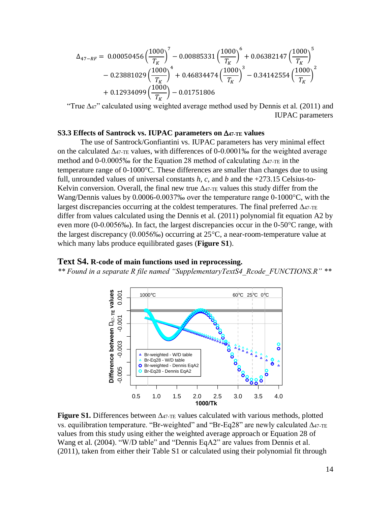$$
\Delta_{47-RF} = 0.00050456 \left(\frac{1000}{T_K}\right)^7 - 0.00885331 \left(\frac{1000}{T_K}\right)^6 + 0.06382147 \left(\frac{1000}{T_K}\right)^5 - 0.23881029 \left(\frac{1000}{T_K}\right)^4 + 0.46834474 \left(\frac{1000}{T_K}\right)^3 - 0.34142554 \left(\frac{1000}{T_K}\right)^2 + 0.12934099 \left(\frac{1000}{T_K}\right) - 0.01751806
$$

"True  $\Delta$ 47" calculated using weighted average method used by Dennis et al. (2011) and IUPAC parameters

#### **S3.3 Effects of Santrock vs. IUPAC parameters on 47-TE values**

The use of Santrock/Gonfiantini vs. IUPAC parameters has very minimal effect on the calculated  $\Delta_{47\text{-TE}}$  values, with differences of 0-0.0001‰ for the weighted average method and 0-0.0005‰ for the Equation 28 method of calculating  $\Delta_{47-TE}$  in the temperature range of  $0-1000^{\circ}$ C. These differences are smaller than changes due to using full, unrounded values of universal constants  $h$ ,  $c$ , and  $b$  and the  $+273.15$  Celsius-to-Kelvin conversion. Overall, the final new true  $\Delta_{47\text{-TE}}$  values this study differ from the Wang/Dennis values by  $0.0006 - 0.0037\%$  over the temperature range  $0-1000\degree C$ , with the largest discrepancies occurring at the coldest temperatures. The final preferred  $\Delta_{47\text{-TE}}$ differ from values calculated using the Dennis et al. (2011) polynomial fit equation A2 by even more  $(0-0.0056\%)$ . In fact, the largest discrepancies occur in the  $0-50\degree$ C range, with the largest discrepancy (0.0056‰) occurring at  $25^{\circ}$ C, a near-room-temperature value at which many labs produce equilibrated gases (**Figure S1**).

### **Text S4. R-code of main functions used in reprocessing.**

*\*\* Found in a separate R file named "SupplementaryTextS4\_Rcode\_FUNCTIONS.R" \*\**



**Figure S1.** Differences between  $\Delta$ 47-TE values calculated with various methods, plotted vs. equilibration temperature. "Br-weighted" and "Br-Eq28" are newly calculated  $\Delta_{47\text{-TE}}$ values from this study using either the weighted average approach or Equation 28 of Wang et al. (2004). "W/D table" and "Dennis EqA2" are values from Dennis et al. (2011), taken from either their Table S1 or calculated using their polynomial fit through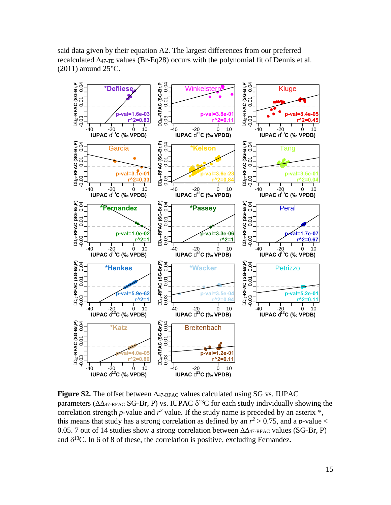said data given by their equation A2. The largest differences from our preferred recalculated  $\Delta_{47\text{-TE}}$  values (Br-Eq28) occurs with the polynomial fit of Dennis et al.  $(2011)$  around  $25^{\circ}$ C.



**Figure S2.** The offset between  $\Delta 47$ -RFAC values calculated using SG vs. IUPAC parameters ( $\Delta\Delta$ 47-RFAC SG-Br, P) vs. IUPAC  $\delta^{13}$ C for each study individually showing the correlation strength *p*-value and  $r^2$  value. If the study name is preceded by an asterix  $*$ , this means that study has a strong correlation as defined by an  $r^2 > 0.75$ , and a *p*-value < 0.05. 7 out of 14 studies show a strong correlation between  $\Delta\Delta_{47\text{-RFAC}}$  values (SG-Br, P) and  $\delta^{13}$ C. In 6 of 8 of these, the correlation is positive, excluding Fernandez.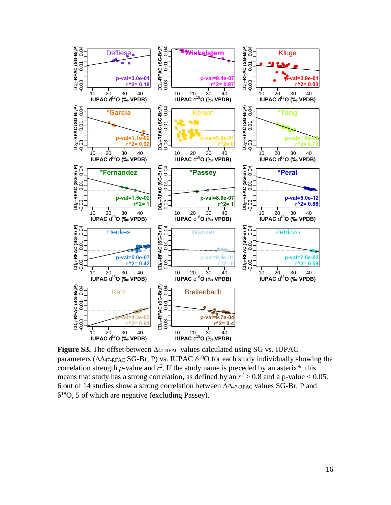

**Figure S3.** The offset between  $\Delta_{47\text{-RFAC}}$  values calculated using SG vs. IUPAC parameters ( $\Delta\Delta_{47\text{-RFAC}}$  SG-Br, P) vs. IUPAC  $\delta^{18}$ O for each study individually showing the correlation strength *p*-value and  $r^2$ . If the study name is preceded by an asterix\*, this means that study has a strong correlation, as defined by an  $r^2 > 0.8$  and a p-value < 0.05. 6 out of 14 studies show a strong correlation between  $\Delta\Delta_{47\text{-RFAC}}$  values SG-Br, P and  $\delta^{18}O$ , 5 of which are negative (excluding Passey).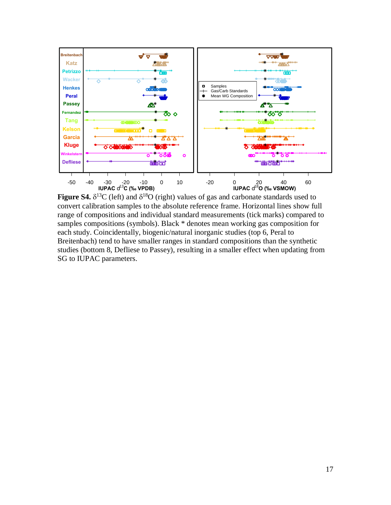

**Figure S4.**  $\delta^{13}C$  (left) and  $\delta^{18}O$  (right) values of gas and carbonate standards used to convert calibration samples to the absolute reference frame. Horizontal lines show full range of compositions and individual standard measurements (tick marks) compared to samples compositions (symbols). Black \* denotes mean working gas composition for each study. Coincidentally, biogenic/natural inorganic studies (top 6, Peral to Breitenbach) tend to have smaller ranges in standard compositions than the synthetic studies (bottom 8, Defliese to Passey), resulting in a smaller effect when updating from SG to IUPAC parameters.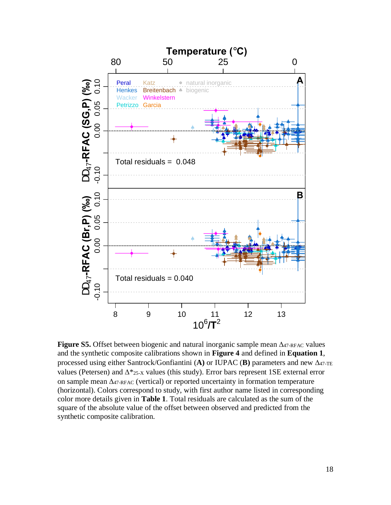

**Figure S5.** Offset between biogenic and natural inorganic sample mean  $\Delta_{47\text{-RFAC}}$  values and the synthetic composite calibrations shown in **Figure 4** and defined in **Equation 1**, processed using either Santrock/Gonfiantini (A) or IUPAC (B) parameters and new  $\Delta_{47\text{-TE}}$ values (Petersen) and  $\Delta^*$ <sub>25-X</sub> values (this study). Error bars represent 1SE external error on sample mean  $\Delta_{47\text{-RFAC}}$  (vertical) or reported uncertainty in formation temperature (horizontal). Colors correspond to study, with first author name listed in corresponding color more details given in **Table 1**. Total residuals are calculated as the sum of the square of the absolute value of the offset between observed and predicted from the synthetic composite calibration.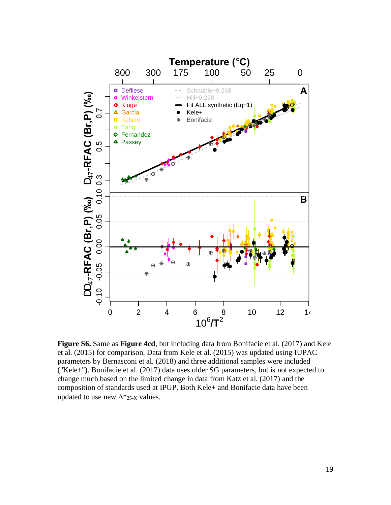

**Figure S6.** Same as **Figure 4cd**, but including data from Bonifacie et al. (2017) and Kele et al. (2015) for comparison. Data from Kele et al. (2015) was updated using IUPAC parameters by Bernasconi et al. (2018) and three additional samples were included ("Kele+"). Bonifacie et al. (2017) data uses older SG parameters, but is not expected to change much based on the limited change in data from Katz et al. (2017) and the composition of standards used at IPGP. Both Kele+ and Bonifacie data have been updated to use new  $\Delta^*$ <sub>25-X</sub> values.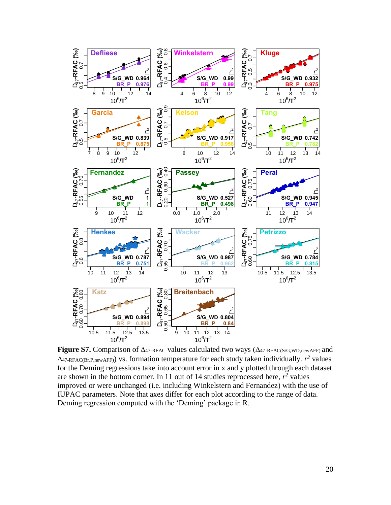

**Figure S7.** Comparison of  $\Delta_{47\text{-RFAC}}$  values calculated two ways ( $\Delta_{47\text{-RFAC}}(S/G,WD,newAFF)$  and  $\Delta$ 47-RFAC(Br,P,newAFF)) vs. formation temperature for each study taken individually.  $r^2$  values for the Deming regressions take into account error in x and y plotted through each dataset are shown in the bottom corner. In 11 out of 14 studies reprocessed here,  $r^2$  values improved or were unchanged (i.e. including Winkelstern and Fernandez) with the use of IUPAC parameters. Note that axes differ for each plot according to the range of data. Deming regression computed with the 'Deming' package in R.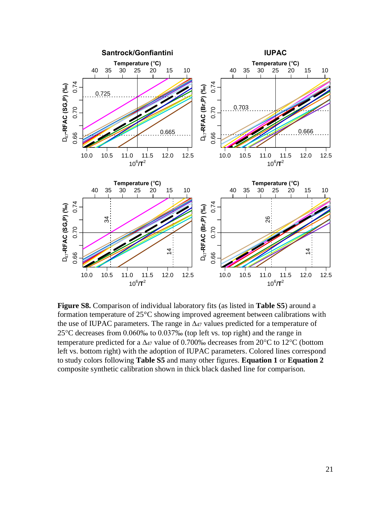

**Figure S8.** Comparison of individual laboratory fits (as listed in **Table S5**) around a formation temperature of 25°C showing improved agreement between calibrations with the use of IUPAC parameters. The range in  $\Delta_{47}$  values predicted for a temperature of 25C decreases from 0.060‰ to 0.037‰ (top left vs. top right) and the range in temperature predicted for a  $\Delta_{47}$  value of 0.700‰ decreases from 20°C to 12°C (bottom left vs. bottom right) with the adoption of IUPAC parameters. Colored lines correspond to study colors following **Table S5** and many other figures. **Equation 1** or **Equation 2** composite synthetic calibration shown in thick black dashed line for comparison.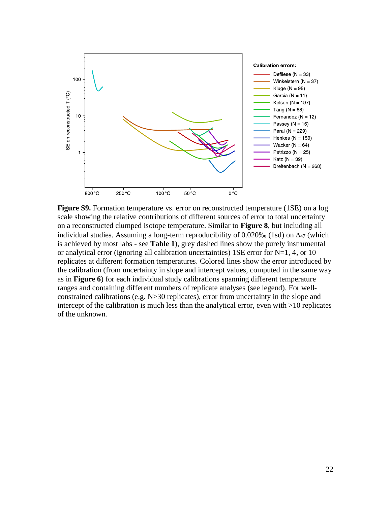

**Figure S9.** Formation temperature vs. error on reconstructed temperature (1SE) on a log scale showing the relative contributions of different sources of error to total uncertainty on a reconstructed clumped isotope temperature. Similar to **Figure 8**, but including all individual studies. Assuming a long-term reproducibility of  $0.020\%$  (1sd) on  $\Delta_{47}$  (which is achieved by most labs - see **Table 1**), grey dashed lines show the purely instrumental or analytical error (ignoring all calibration uncertainties)  $1SE$  error for N=1, 4, or 10 replicates at different formation temperatures. Colored lines show the error introduced by the calibration (from uncertainty in slope and intercept values, computed in the same way as in **Figure 6**) for each individual study calibrations spanning different temperature ranges and containing different numbers of replicate analyses (see legend). For wellconstrained calibrations (e.g. N>30 replicates), error from uncertainty in the slope and intercept of the calibration is much less than the analytical error, even with >10 replicates of the unknown.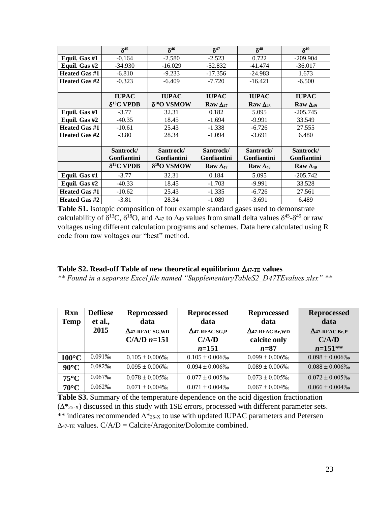|                          | $\delta^{45}$                                | $\delta^{46}$            | $\delta^{47}$            | $\delta^{48}$            | $\delta^{49}$              |  |
|--------------------------|----------------------------------------------|--------------------------|--------------------------|--------------------------|----------------------------|--|
| Equil. Gas #1            | $-0.164$                                     | $-2.580$                 | $-2.523$                 | 0.722                    | $-209.904$                 |  |
| Equil. Gas #2            | $-34.930$                                    | $-16.029$                | $-52.832$                | $-41.474$                | $-36.017$                  |  |
| <b>Heated Gas #1</b>     | $-6.810$                                     | $-9.233$                 | $-17.356$                | $-24.983$                | 1.673                      |  |
| <b>Heated Gas #2</b>     | $-0.323$                                     | $-6.409$                 | $-7.720$                 | $-16.421$                | $-6.500$                   |  |
|                          |                                              |                          |                          |                          |                            |  |
|                          | <b>IUPAC</b>                                 | <b>IUPAC</b>             | <b>IUPAC</b>             | <b>IUPAC</b>             | <b>IUPAC</b>               |  |
|                          | $\delta^{13}$ C VPDB<br>$\delta^{18}O$ VSMOW |                          | Raw $\Delta_{47}$        | Raw $\Delta_{48}$        | Raw $\Delta_{49}$          |  |
| Equil. Gas #1            | $-3.77$                                      | 32.31                    | 0.182                    | 5.095                    | $-205.745$                 |  |
| Equil. Gas #2            | $-40.35$                                     | 18.45                    | $-1.694$                 | $-9.991$                 | 33.549                     |  |
| <b>Heated Gas #1</b>     | $-10.61$                                     | 25.43                    | $-1.338$                 | $-6.726$                 |                            |  |
| Heated Gas #2            | $-3.80$                                      | 28.34                    | $-1.094$                 | $-3.691$                 | 6.480                      |  |
|                          |                                              |                          |                          |                          |                            |  |
| Santrock/<br>Gonfiantini |                                              | Santrock/<br>Gonfiantini | Santrock/<br>Gonfiantini | Santrock/<br>Gonfiantini | Santrock/<br>Gonfiantini   |  |
|                          | $\delta^{13}$ C VPDB                         | $\delta^{18}O$ VSMOW     | Raw $\Delta_{47}$        | Raw $\Delta_{48}$        | $\mathbf{Raw} \Delta_{49}$ |  |
| Equil. Gas #1            | $-3.77$                                      | 32.31                    | 0.184                    | 5.095                    | $-205.742$                 |  |
| Equil. Gas #2            | $-40.33$                                     | 18.45                    | $-1.703$                 | $-9.991$                 | 33.528                     |  |
| <b>Heated Gas #1</b>     | $-10.62$                                     | 25.43                    | $-1.335$                 | $-6.726$                 | 27.561                     |  |
| <b>Heated Gas #2</b>     | $-3.81$                                      | 28.34                    | $-1.089$                 | $-3.691$                 | 6.489                      |  |

**Table S1.** Isotopic composition of four example standard gases used to demonstrate calculability of  $\delta^{13}C$ ,  $\delta^{18}O$ , and  $\Delta_{47}$  to  $\Delta_{49}$  values from small delta values  $\delta^{45}$ - $\delta^{49}$  or raw voltages using different calculation programs and schemes. Data here calculated using R code from raw voltages our "best" method.

# Table S2. Read-off Table of new theoretical equilibrium  $\Delta$ 47-TE values

*\*\* Found in a separate Excel file named "SupplementaryTableS2\_D47TEvalues.xlsx" \*\** 

| <b>Rxn</b><br><b>Temp</b> | <b>Defliese</b><br>et al.,<br>2015 | <b>Reprocessed</b><br>data<br>$\Delta$ 47-RFAC SG, WD<br>$C/A/D$ n=151 | <b>Reprocessed</b><br>data<br>$\Delta$ 47-RFAC SG,P<br>C/A/D<br>$n = 151$ | <b>Reprocessed</b><br>data<br>$\Delta$ 47-RFAC Br,WD<br>calcite only<br>$n = 87$ | <b>Reprocessed</b><br>data<br>$\Delta$ 47-RFAC Br,P<br>C/A/D<br>$n=151**$ |
|---------------------------|------------------------------------|------------------------------------------------------------------------|---------------------------------------------------------------------------|----------------------------------------------------------------------------------|---------------------------------------------------------------------------|
|                           |                                    |                                                                        |                                                                           |                                                                                  |                                                                           |
| $100^{\circ}$ C           | 0.091%                             | $0.105 \pm 0.006\%$                                                    | $0.105 \pm 0.006\%$                                                       | $0.099 \pm 0.006\%$                                                              | $0.098 \pm 0.006\%$                                                       |
| $90^{\circ}$ C            | 0.082%                             | $0.095 \pm 0.006\%$                                                    | $0.094 \pm 0.006\%$                                                       | $0.089 \pm 0.006\%$                                                              | $0.088 \pm 0.006\%$                                                       |
| $75^{\circ}$ C            | 0.067%                             | $0.078 \pm 0.005\%$                                                    | $0.077 \pm 0.005\%$                                                       | $0.073 \pm 0.005\%$                                                              | $0.072 \pm 0.005\%$                                                       |
| $70^{\circ}$ C            | 0.062%                             | $0.071 \pm 0.004\%$                                                    | $0.071 \pm 0.004\%$                                                       | $0.067 \pm 0.004\%$                                                              | $0.066 \pm 0.004\%$                                                       |

**Table S3.** Summary of the temperature dependence on the acid digestion fractionation  $(\Delta^*$ 25-X) discussed in this study with 1SE errors, processed with different parameter sets. \*\* indicates recommended  $\Delta$ \*25-x to use with updated IUPAC parameters and Petersen  $\Delta$ 47-TE values. C/A/D = Calcite/Aragonite/Dolomite combined.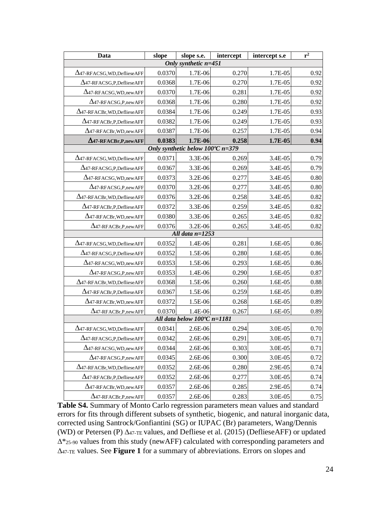| Data                                 | slope  | slope s.e.                                 | intercept | intercept s.e | $\overline{\mathbf{r}^2}$ |  |  |  |  |
|--------------------------------------|--------|--------------------------------------------|-----------|---------------|---------------------------|--|--|--|--|
| Only synthetic $n=451$               |        |                                            |           |               |                           |  |  |  |  |
| $\Delta$ 47-RFACSG, WD, Defliese AFF | 0.0370 | 1.7E-06                                    | 0.270     | 1.7E-05       | 0.92                      |  |  |  |  |
| $\Delta$ 47-RFACSG,P,DeflieseAFF     | 0.0368 | 1.7E-06                                    | 0.270     | 1.7E-05       | 0.92                      |  |  |  |  |
| $\Delta$ 47-RFACSG, WD, new AFF      | 0.0370 | 1.7E-06                                    | 0.281     | 1.7E-05       | 0.92                      |  |  |  |  |
| $\Delta$ 47-RFACSG, P, new AFF       | 0.0368 | 1.7E-06                                    | 0.280     | 1.7E-05       | 0.92                      |  |  |  |  |
| $\Delta$ 47-RFACBr, WD, Defliese AFF | 0.0384 | 1.7E-06                                    | 0.249     | 1.7E-05       | 0.93                      |  |  |  |  |
| $\Delta$ 47-RFACBr,P,DeflieseAFF     | 0.0382 | 1.7E-06                                    | 0.249     | 1.7E-05       | 0.93                      |  |  |  |  |
| $\Delta$ 47-RFACBr, WD, new AFF      | 0.0387 | 1.7E-06                                    | 0.257     | 1.7E-05       | 0.94                      |  |  |  |  |
| $\Delta$ 47-RFACBr, P, new AFF       | 0.0383 | 1.7E-06                                    | 0.258     | 1.7E-05       | 0.94                      |  |  |  |  |
|                                      |        | Only synthetic below $100^{\circ}$ C n=379 |           |               |                           |  |  |  |  |
| $\Delta$ 47-RFACSG, WD, Defliese AFF | 0.0371 | 3.3E-06                                    | 0.269     | 3.4E-05       | 0.79                      |  |  |  |  |
| $\Delta$ 47-RFACSG,P,DeflieseAFF     | 0.0367 | 3.3E-06                                    | 0.269     | 3.4E-05       | 0.79                      |  |  |  |  |
| $\Delta$ 47-RFACSG, WD, new AFF      | 0.0373 | 3.2E-06                                    | 0.277     | 3.4E-05       | 0.80                      |  |  |  |  |
| $\Delta$ 47-RFACSG, P, new AFF       | 0.0370 | 3.2E-06                                    | 0.277     | 3.4E-05       | 0.80                      |  |  |  |  |
| $\Delta$ 47-RFACBr, WD, Defliese AFF | 0.0376 | 3.2E-06                                    | 0.258     | 3.4E-05       | 0.82                      |  |  |  |  |
| $\Delta$ 47-RFACBr,P,DeflieseAFF     | 0.0372 | 3.3E-06                                    | 0.259     | 3.4E-05       | 0.82                      |  |  |  |  |
| $\Delta$ 47-RFACBr, WD, new AFF      | 0.0380 | 3.3E-06                                    | 0.265     | 3.4E-05       | 0.82                      |  |  |  |  |
| $\Delta$ 47-RFACBr,P,newAFF          | 0.0376 | 3.2E-06                                    | 0.265     | 3.4E-05       | 0.82                      |  |  |  |  |
|                                      |        | All data $n=1253$                          |           |               |                           |  |  |  |  |
| $\Delta$ 47-RFACSG, WD, Defliese AFF | 0.0352 | 1.4E-06                                    | 0.281     | 1.6E-05       | 0.86                      |  |  |  |  |
| $\Delta$ 47-RFACSG,P,DeflieseAFF     | 0.0352 | 1.5E-06                                    | 0.280     | 1.6E-05       | 0.86                      |  |  |  |  |
| $\Delta$ 47-RFACSG, WD, new AFF      | 0.0353 | 1.5E-06                                    | 0.293     | 1.6E-05       | 0.86                      |  |  |  |  |
| $\Delta$ 47-RFACSG, P, new AFF       | 0.0353 | 1.4E-06                                    | 0.290     | 1.6E-05       | 0.87                      |  |  |  |  |
| $\Delta$ 47-RFACBr, WD, Defliese AFF | 0.0368 | 1.5E-06                                    | 0.260     | 1.6E-05       | 0.88                      |  |  |  |  |
| $\Delta$ 47-RFACBr,P,DeflieseAFF     | 0.0367 | 1.5E-06                                    | 0.259     | 1.6E-05       | 0.89                      |  |  |  |  |
| $\Delta$ 47-RFACBr, WD, new AFF      | 0.0372 | 1.5E-06                                    | 0.268     | 1.6E-05       | 0.89                      |  |  |  |  |
| $\Delta$ 47-RFACBr, P, new AFF       | 0.0370 | 1.4E-06                                    | 0.267     | 1.6E-05       | 0.89                      |  |  |  |  |
|                                      |        | All data below 100°C n=1181                |           |               |                           |  |  |  |  |
| $\Delta$ 47-RFACSG, WD, Defliese AFF | 0.0341 | 2.6E-06                                    | 0.294     | 3.0E-05       | 0.70                      |  |  |  |  |
| $\Delta$ 47-RFACSG,P,DeflieseAFF     | 0.0342 | 2.6E-06                                    | 0.291     | 3.0E-05       | 0.71                      |  |  |  |  |
| $\Delta$ 47-RFACSG, WD, new AFF      | 0.0344 | 2.6E-06                                    | 0.303     | 3.0E-05       | 0.71                      |  |  |  |  |
| $\Delta$ 47-RFACSG, P, new AFF       | 0.0345 | 2.6E-06                                    | 0.300     | 3.0E-05       | 0.72                      |  |  |  |  |
| $\Delta$ 47-RFACBr, WD, Defliese AFF | 0.0352 | 2.6E-06                                    | 0.280     | 2.9E-05       | 0.74                      |  |  |  |  |
| $\Delta$ 47-RFACBr,P,DeflieseAFF     | 0.0352 | 2.6E-06                                    | 0.277     | 3.0E-05       | 0.74                      |  |  |  |  |
| $\Delta$ 47-RFACBr, WD, new AFF      | 0.0357 | 2.6E-06                                    | 0.285     | 2.9E-05       | 0.74                      |  |  |  |  |
| $\Delta$ 47-RFACBr,P,newAFF          | 0.0357 | 2.6E-06                                    | 0.283     | 3.0E-05       | 0.75                      |  |  |  |  |

**Table S4.** Summary of Monto Carlo regression parameters mean values and standard errors for fits through different subsets of synthetic, biogenic, and natural inorganic data, corrected using Santrock/Gonfiantini (SG) or IUPAC (Br) parameters, Wang/Dennis (WD) or Petersen (P)  $\Delta_{47\text{-TE}}$  values, and Defliese et al. (2015) (DeflieseAFF) or updated  $\Delta^*$ 25-90 values from this study (newAFF) calculated with corresponding parameters and 47-TE values. See **Figure 1** for a summary of abbreviations. Errors on slopes and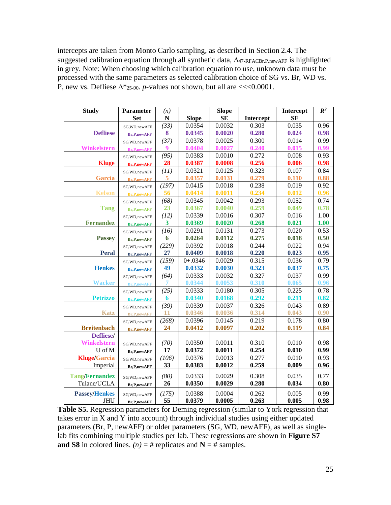intercepts are taken from Monto Carlo sampling, as described in Section 2.4. The suggested calibration equation through all synthetic data,  $\Delta_{47\text{-RFACBr},P,newAFF}$  is highlighted in grey. Note: When choosing which calibration equation to use, unknown data must be processed with the same parameters as selected calibration choice of SG vs. Br, WD vs. P, new vs. Defliese  $\Delta^*$ <sub>25-90</sub>. *p*-values not shown, but all are <<<0.0001.

| <b>Study</b>          | <b>Parameter</b>   | (n)         |              | <b>Slope</b> |           | Intercept | $\overline{R^2}$ |
|-----------------------|--------------------|-------------|--------------|--------------|-----------|-----------|------------------|
|                       | <b>Set</b>         | $\mathbf N$ | <b>Slope</b> | <b>SE</b>    | Intercept | SE        |                  |
|                       | SG, WD, new AFF    | (33)        | 0.0354       | 0.0032       | 0.303     | 0.035     | 0.96             |
| <b>Defliese</b>       | <b>Br,P,newAFF</b> | 8           | 0.0345       | 0.0020       | 0.280     | 0.024     | 0.98             |
|                       | SG, WD, new AFF    | (37)        | 0.0378       | 0.0025       | 0.300     | 0.014     | 0.99             |
| Winkelstern           | <b>Br,P,newAFF</b> | 9           | 0.0404       | 0.0027       | 0.240     | 0.015     | 0.99             |
|                       | SG, WD, new AFF    | (95)        | 0.0383       | 0.0010       | 0.272     | 0.008     | 0.93             |
| <b>Kluge</b>          | <b>Br,P,newAFF</b> | 28          | 0.0387       | 0.0008       | 0.256     | 0.006     | 0.98             |
|                       | SG, WD, new AFF    | (11)        | 0.0321       | 0.0125       | 0.323     | 0.107     | 0.84             |
| <b>Garcia</b>         | <b>Br,P,newAFF</b> | 5           | 0.0357       | 0.0131       | 0.279     | 0.110     | 0.88             |
|                       | SG, WD, new AFF    | (197)       | 0.0415       | 0.0018       | 0.238     | 0.019     | 0.92             |
| <b>Kelson</b>         | <b>Br,P,newAFF</b> | 56          | 0.0414       | 0.0011       | 0.234     | 0.012     | 0.96             |
|                       | SG, WD, new AFF    | (68)        | 0.0345       | 0.0042       | 0.293     | 0.052     | 0.74             |
| <b>Tang</b>           | <b>Br,P,newAFF</b> | 23          | 0.0367       | 0.0040       | 0.259     | 0.049     | 0.78             |
|                       | SG, WD, new AFF    | (12)        | 0.0339       | 0.0016       | 0.307     | 0.016     | 1.00             |
| <b>Fernandez</b>      | <b>Br,P,newAFF</b> | 3           | 0.0369       | 0.0020       | 0.268     | 0.021     | 1.00             |
|                       | SG, WD, new AFF    | (16)        | 0.0291       | 0.0131       | 0.273     | 0.020     | 0.53             |
| <b>Passey</b>         | <b>Br,P,newAFF</b> | 6           | 0.0264       | 0.0112       | 0.275     | 0.018     | 0.50             |
|                       | SG, WD, new AFF    | (229)       | 0.0392       | 0.0018       | 0.244     | 0.022     | 0.94             |
| <b>Peral</b>          | <b>Br,P,newAFF</b> | 27          | 0.0409       | 0.0018       | 0.220     | 0.023     | 0.95             |
|                       | SG, WD, new AFF    | (159)       | $0 + .0346$  | 0.0029       | 0.315     | 0.036     | 0.79             |
| <b>Henkes</b>         | <b>Br,P,newAFF</b> | 49          | 0.0332       | 0.0030       | 0.323     | 0.037     | 0.75             |
|                       | SG, WD, new AFF    | (64)        | 0.0333       | 0.0032       | 0.327     | 0.037     | 0.99             |
| <b>Wacker</b>         | <b>Br,P,newAFF</b> |             | 0.0344       | 0.0053       | 0.310     | 0.065     | 0.96             |
|                       | SG, WD, new AFF    | (25)        | 0.0333       | 0.0180       | 0.305     | 0.225     | 0.78             |
| <b>Petrizzo</b>       | <b>Br,P,newAFF</b> | 6           | 0.0340       | 0.0168       | 0.292     | 0.211     | 0.82             |
|                       | SG, WD, new AFF    | (39)        | 0.0339       | 0.0037       | 0.326     | 0.043     | 0.89             |
| <b>Katz</b>           | <b>Br,P,newAFF</b> | 11          | 0.0346       | 0.0036       | 0.314     | 0.043     | 0.90             |
|                       | SG, WD, new AFF    | (268)       | 0.0396       | 0.0145       | 0.219     | 0.178     | 0.80             |
| <b>Breitenbach</b>    | <b>Br,P,newAFF</b> | 24          | 0.0412       | 0.0097       | 0.202     | 0.119     | 0.84             |
| Defliese/             |                    |             |              |              |           |           |                  |
| <b>Winkelstern</b>    | SG, WD, new AFF    | (70)        | 0.0350       | 0.0011       | 0.310     | 0.010     | 0.98             |
| U of M                | Br,P,newAFF        | 17          | 0.0372       | 0.0011       | 0.254     | 0.010     | 0.99             |
| <b>Kluge/Garcia</b>   | SG, WD, new AFF    | (106)       | 0.0376       | 0.0013       | 0.277     | 0.010     | 0.93             |
| Imperial              | Br,P,newAFF        | 33          | 0.0383       | 0.0012       | 0.259     | 0.009     | 0.96             |
| <b>Tang/Fernandez</b> |                    | (80)        | 0.0333       | 0.0029       | 0.308     | 0.035     | 0.77             |
| Tulane/UCLA           | SG, WD, new AFF    | 26          | 0.0350       | 0.0029       | 0.280     | 0.034     | 0.80             |
|                       | Br,P,newAFF        |             |              |              |           |           |                  |
| <b>Passey/Henkes</b>  | SG, WD, new AFF    | (175)       | 0.0388       | 0.0004       | 0.262     | 0.005     | 0.99             |
| <b>JHU</b>            | Br,P,newAFF        | 55          | 0.0379       | 0.0005       | 0.263     | 0.005     | 0.98             |

**Table S5.** Regression parameters for Deming regression (similar to York regression that takes error in X and Y into account) through individual studies using either updated parameters (Br, P, newAFF) or older parameters (SG, WD, newAFF), as well as singlelab fits combining multiple studies per lab. These regressions are shown in **Figure S7 and S8** in colored lines.  $(n) = #$  replicates and  $N = #$  samples.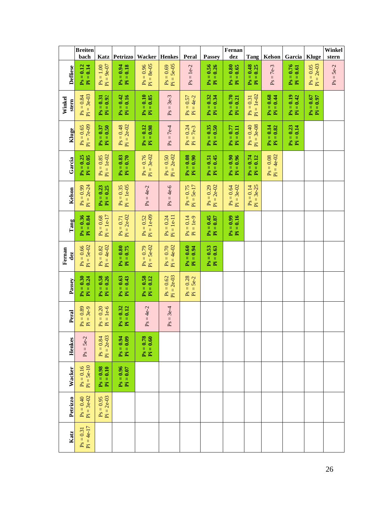|                 | <b>Breiten</b>                     | Katz                          |                                               |                                       |                                                   |                                                             |                                      | ${\bf Fernan}$                    |                                     |                             |                                      |                                             | Winkel               |
|-----------------|------------------------------------|-------------------------------|-----------------------------------------------|---------------------------------------|---------------------------------------------------|-------------------------------------------------------------|--------------------------------------|-----------------------------------|-------------------------------------|-----------------------------|--------------------------------------|---------------------------------------------|----------------------|
| <b>Defliese</b> | bach<br>$Ps = 0.12$<br>$Pi = 0.14$ | $P_s = 1.00$<br>$P_i = 9e-07$ | <b>Petrizzo</b><br>$Ps = 0.94$<br>$Pi = 0.18$ | Wacker<br>$Pi = 8e-05$<br>$Ps = 0.96$ | <b>Henkes</b><br>$Pi = 5e-05$<br>$Ps = 0.69$      | Peral<br>$= 1e-2$<br>$\mathbf{P}\mathbf{S}$                 | Passey<br>$Ps = 0.56$<br>$Pi = 0.26$ | dez<br>$Ps = 0.80$<br>$Pi = 0.65$ | Tang<br>$P_s = 0.48$<br>$Pi = 0.25$ | Kelson<br>$Ps = 7e-3$       | Garcia<br>$Ps = 0.76$<br>$Pi = 0.61$ | <b>Kluge</b><br>$Pi = 2e-03$<br>$Ps = 0.05$ | stern<br>$Ps = 5e-2$ |
| Winkel<br>stern | $Pi = 3e-03$<br>$Ps = 0.84$        | $P_s = 0.31$<br>$P_i = 0.92$  | $Ps = 0.42$<br>$Pi = 0.16$                    | $Ps = 0.10$<br>$Pi = 0.85$            | $Ps = 3e-3$                                       | $Ps = 0.57$<br>$=4e-2$<br>$\overleftrightarrow{\mathbf{p}}$ | $P_s = 0.32$<br>$P_i = 0.34$         | $Ps = 0.70$<br>$Pi = 0.21$        | $Pi = 1e-02$<br>$Ps = 0.31$         | $Ps = 0.68$<br>$Pi = 0.44$  | $P_s = 0.19$<br>$Pi = 0.42$          | $Ps = 0.67$<br>$Pi = 0.97$                  |                      |
| Kluge           | $Pi = 7e-09$<br>$Ps = 0.65$        | $P_s = 0.37$<br>$P_i = 0.50$  | $Pi = 2e-02$<br>$Ps = 0.48$                   | $P_s = 0.12$<br>$P_i = 0.98$          | $7e-4$<br>$\frac{1}{2}$<br>$\mathbf{P}\mathbf{S}$ | $Ps = 0.24$<br>$=7e-3$<br>$\overline{\mathbb{A}}$           | $Ps = 0.35$<br>$Pi = 0.50$           | $Ps = 0.77$<br>$Pi = 0.11$        | $Pi = 3e-08$<br>$Ps = 0.40$         | $Ps = 0.14$<br>$Pi = 0.82$  | $Ps = 0.23$<br>Pi = 0.14             |                                             |                      |
| Garcia          | $Ps = 0.25$<br>$Pi = 0.05$         | $Pi = 1e-02$<br>$Ps = 0.85$   | $Ps = 0.83$<br>$Pi = 0.70$                    | $P_s = 0.76$<br>$Pi = 3e-02$          | $Pi = 2e-02$<br>$Ps = 0.50$                       | $Ps = 0.08$<br>$Pi = 0.90$                                  | $Pi = 0.45$<br>$Ps = 0.51$           | $Ps = 0.90$<br>$Pi = 0.96$        | $Ps = 0.74$<br>$Pi = 0.12$          | $Pi = 4e-02$<br>$Ps = 0.08$ |                                      |                                             |                      |
| Kelson          | $Pi = 2e-24$<br>$Ps = 0.99$        | $Ps = 0.23$<br>$Pi = 0.25$    | $Pi = 1e-05$<br>$Ps = 0.35$                   | $Ps = 4e-2$                           | $=4e-6$<br>$\mathbf{P}\mathbf{S}$                 | $Pi = 5e-17$<br>$Ps = 0.75$                                 | $Pi = 2e-02$<br>$Ps = 0.29$          | $Pi = 3e-02$<br>$Ps = 0.64$       | $Ps = 0.14$<br>$Pi = 3e-25$         |                             |                                      |                                             |                      |
| Tang            | $Ps = 0.36$<br>$Pi = 0.84$         | $P_s = 0.68$<br>$P_i = 1e-17$ | $Pi = 2e-02$<br>$Ps = 0.71$                   | $Pi = 1e-09$<br>$Ps = 0.52$           | $Pi = 1e-11$<br>$Ps = 0.24$                       | $Ps = 0.14$<br>$Pi = 1e-9$                                  | $Ps = 0.45$<br>$Pi = 0.87$           | $Ps = 0.99$<br>$Pi = 0.16$        |                                     |                             |                                      |                                             |                      |
| Fernan<br>dez   | $Pi = 5e-02$<br>$Ps = 0.66$        | $P_s = 0.82$<br>$P_i = 4e-02$ | $Ps = 0.80$<br>$Pi = 0.75$                    | $Pi = 5e-02$<br>$Ps = 0.79$           | $Pi = 4e-02$<br>$Ps = 0.70$                       | $Ps = 0.60$<br>$Pi = 0.94$                                  | $Pi = 0.63$<br>$Ps = 0.53$           |                                   |                                     |                             |                                      |                                             |                      |
| Passey          | $P_s = 0.30$<br>$Pi = 0.24$        | $P_s = 0.58$<br>$P_i = 0.26$  | $Ps = 0.63$<br>$Pi = 0.43$                    | $P_s = 0.58$<br>$P_i = 0.12$          | $Pi = 2e-03$<br>$Ps = 0.62$                       | $P_s = 0.28$<br>$Pi = 5e-2$                                 |                                      |                                   |                                     |                             |                                      |                                             |                      |
| Peral           | $Ps = 0.89$<br>$Pi = 3e-9$         | $Ps = 0.20$<br>$Pi = 1e-6$    | $Ps = 0.32$<br>$Pi = 0.12$                    | $Ps = 4e-2$                           | $3e-4$<br>$Ps =$                                  |                                                             |                                      |                                   |                                     |                             |                                      |                                             |                      |
| Henkes          | $Ps = 5e-2$                        | $Pi = 2e-03$<br>$Ps = 0.84$   | $Ps = 0.94$<br>$Pi = 0.09$                    | $Ps = 0.78$<br>$Pi = 0.60$            |                                                   |                                                             |                                      |                                   |                                     |                             |                                      |                                             |                      |
| Wacker          | $Pi = 5e-10$<br>$Ps = 0.16$        | $Ps = 0.98$<br>$Pi = 0.10$    | $Ps = 0.96$<br>$Pi = 0.07$                    |                                       |                                                   |                                                             |                                      |                                   |                                     |                             |                                      |                                             |                      |
| Petrizzo        | $Pi = 3e-02$<br>$Ps = 0.40$        | $Pi = 2e-03$<br>$Ps = 0.95$   |                                               |                                       |                                                   |                                                             |                                      |                                   |                                     |                             |                                      |                                             |                      |
| Katz            | $Pi = 4e-17$<br>$Ps = 0.31$        |                               |                                               |                                       |                                                   |                                                             |                                      |                                   |                                     |                             |                                      |                                             |                      |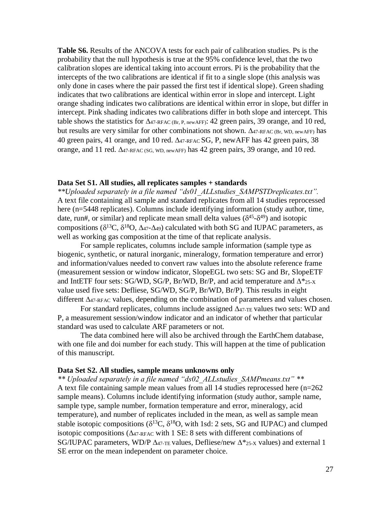**Table S6.** Results of the ANCOVA tests for each pair of calibration studies. Ps is the probability that the null hypothesis is true at the 95% confidence level, that the two calibration slopes are identical taking into account errors. Pi is the probability that the intercepts of the two calibrations are identical if fit to a single slope (this analysis was only done in cases where the pair passed the first test if identical slope). Green shading indicates that two calibrations are identical within error in slope and intercept. Light orange shading indicates two calibrations are identical within error in slope, but differ in intercept. Pink shading indicates two calibrations differ in both slope and intercept. This table shows the statistics for  $\Delta$ 47-RFAC (Br, P, newAFF): 42 green pairs, 39 orange, and 10 red, but results are very similar for other combinations not shown.  $\Delta_{47\text{-}RFAC(Br, WD, newAFF)}$  has 40 green pairs, 41 orange, and 10 red.  $\Delta_{47\text{-RFAC}}$  SG, P, new AFF has 42 green pairs, 38 orange, and 11 red.  $\Delta_{47\text{-RFAC}}$  (sq. wp. newAFF) has 42 green pairs, 39 orange, and 10 red.

#### **Data Set S1. All studies, all replicates samples + standards**

*\*\*Uploaded separately in a file named "ds01\_ALLstudies\_SAMPSTDreplicates.txt".* A text file containing all sample and standard replicates from all 14 studies reprocessed here (n=5448 replicates). Columns include identifying information (study author, time, date, run#, or similar) and replicate mean small delta values  $(\delta^{45} - \delta^{49})$  and isotopic compositions ( $\delta^{13}C$ ,  $\delta^{18}O$ ,  $\Delta_{47}$ - $\Delta_{49}$ ) calculated with both SG and IUPAC parameters, as well as working gas composition at the time of that replicate analysis.

For sample replicates, columns include sample information (sample type as biogenic, synthetic, or natural inorganic, mineralogy, formation temperature and error) and information/values needed to convert raw values into the absolute reference frame (measurement session or window indicator, SlopeEGL two sets: SG and Br, SlopeETF and IntETF four sets: SG/WD, SG/P, Br/WD, Br/P, and acid temperature and  $\Delta^*$ <sub>25-X</sub> value used five sets: Defliese, SG/WD, SG/P, Br/WD, Br/P). This results in eight different  $\Delta_{47\text{-RFAC}}$  values, depending on the combination of parameters and values chosen.

For standard replicates, columns include assigned  $\Delta_{47\text{-TE}}$  values two sets: WD and P, a measurement session/window indicator and an indicator of whether that particular standard was used to calculate ARF parameters or not.

The data combined here will also be archived through the EarthChem database, with one file and doi number for each study. This will happen at the time of publication of this manuscript.

#### **Data Set S2. All studies, sample means unknowns only**

*\*\* Uploaded separately in a file named "ds02\_ALLstudies\_SAMPmeans.txt" \*\** A text file containing sample mean values from all 14 studies reprocessed here (n=262 sample means). Columns include identifying information (study author, sample name, sample type, sample number, formation temperature and error, mineralogy, acid temperature), and number of replicates included in the mean, as well as sample mean stable isotopic compositions ( $\delta^{13}C$ ,  $\delta^{18}O$ , with 1sd: 2 sets, SG and IUPAC) and clumped isotopic compositions  $(\Delta_{47\text{-RFAC}}$  with 1 SE: 8 sets with different combinations of SG/IUPAC parameters, WD/P  $\Delta_{47\text{-TE}}$  values, Defliese/new  $\Delta_{25\text{-X}}$  values) and external 1 SE error on the mean independent on parameter choice.